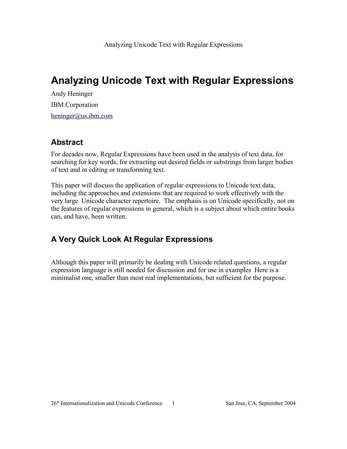Andy Heninger IBM Corporation heninger@us.ibm.com

## **Abstract**

For decades now, Regular Expressions have been used in the analysis of text data, for searching for key words, for extracting out desired fields or substrings from larger bodies of text and in editing or transforming text.

This paper will discuss the application of regular expressions to Unicode text data, including the approaches and extensions that are required to work effectively with the very large Unicode character repertoire. The emphasis is on Unicode specifically, not on the features of regular expressions in general, which is a subject about which entire books can, and have, been written.

## **A Very Quick Look At Regular Expressions**

Although this paper will primarily be dealing with Unicode related questions, a regular expression language is still needed for discussion and for use in examples Here is a minimalist one, smaller than most real implementations, but sufficient for the purpose.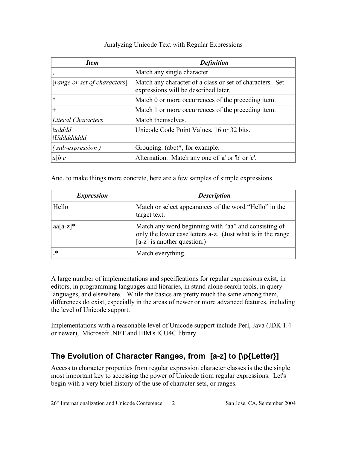| <b>Item</b>                                                   | <b>Definition</b>                                                                                |
|---------------------------------------------------------------|--------------------------------------------------------------------------------------------------|
|                                                               | Match any single character                                                                       |
| [range or set of characters]                                  | Match any character of a class or set of characters. Set<br>expressions will be described later. |
| $\ast$                                                        | Match 0 or more occurrences of the preceding item.                                               |
| $+$                                                           | Match 1 or more occurrences of the preceding item.                                               |
| <b>Literal Characters</b>                                     | Match themselves.                                                                                |
| $\lvert u \rvert d \rvert d$<br><i><u><b>Uddddddd</b></u></i> | Unicode Code Point Values, 16 or 32 bits.                                                        |
| $(sub-expression)$                                            | Grouping. $(abc)^*$ , for example.                                                               |
| a b c                                                         | Alternation. Match any one of 'a' or 'b' or 'c'.                                                 |

And, to make things more concrete, here are a few samples of simple expressions

| <i>Expression</i> | <b>Description</b>                                                                                                                                   |
|-------------------|------------------------------------------------------------------------------------------------------------------------------------------------------|
| Hello             | Match or select appearances of the word "Hello" in the<br>target text.                                                                               |
| $aa[a-z]^*$       | Match any word beginning with "aa" and consisting of<br>only the lower case letters a-z. (Just what is in the range<br>$[a-z]$ is another question.) |
| *                 | Match everything.                                                                                                                                    |

A large number of implementations and specifications for regular expressions exist, in editors, in programming languages and libraries, in stand-alone search tools, in query languages, and elsewhere. While the basics are pretty much the same among them, differences do exist, especially in the areas of newer or more advanced features, including the level of Unicode support.

Implementations with a reasonable level of Unicode support include Perl, Java (JDK 1.4 or newer), Microsoft .NET and IBM's ICU4C library.

## **The Evolution of Character Ranges, from [a-z] to [\p{Letter}]**

Access to character properties from regular expression character classes is the the single most important key to accessing the power of Unicode from regular expressions. Let's begin with a very brief history of the use of character sets, or ranges.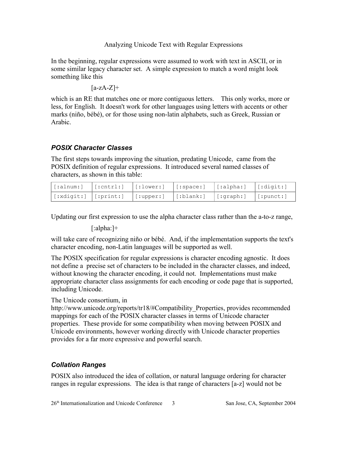In the beginning, regular expressions were assumed to work with text in ASCII, or in some similar legacy character set. A simple expression to match a word might look something like this

$$
[a\negthinspace -\negthinspace zA\negthinspace -\negthinspace Z]+\negthinspace
$$

which is an RE that matches one or more contiguous letters. This only works, more or less, for English. It doesn't work for other languages using letters with accents or other marks (niño, bébé), or for those using non-latin alphabets, such as Greek, Russian or Arabic.

### *POSIX Character Classes*

The first steps towards improving the situation, predating Unicode, came from the POSIX definition of regular expressions. It introduced several named classes of characters, as shown in this table:

|  | $\big $ [:xdigit:] $\big $ [:print:] $\big $ [:upper:] $\big $ [:blank:] $\big $ [:graph:] $\big $ [:punct:] |  |  |
|--|--------------------------------------------------------------------------------------------------------------|--|--|

Updating our first expression to use the alpha character class rather than the a-to-z range,

[:alpha:]+

will take care of recognizing niño or bébé. And, if the implementation supports the text's character encoding, non-Latin languages will be supported as well.

The POSIX specification for regular expressions is character encoding agnostic. It does not define a precise set of characters to be included in the character classes, and indeed, without knowing the character encoding, it could not. Implementations must make appropriate character class assignments for each encoding or code page that is supported, including Unicode.

### The Unicode consortium, in

http://www.unicode.org/reports/tr18/#Compatibility\_Properties, provides recommended mappings for each of the POSIX character classes in terms of Unicode character properties. These provide for some compatibility when moving between POSIX and Unicode environments, however working directly with Unicode character properties provides for a far more expressive and powerful search.

### *Collation Ranges*

POSIX also introduced the idea of collation, or natural language ordering for character ranges in regular expressions. The idea is that range of characters [a-z] would not be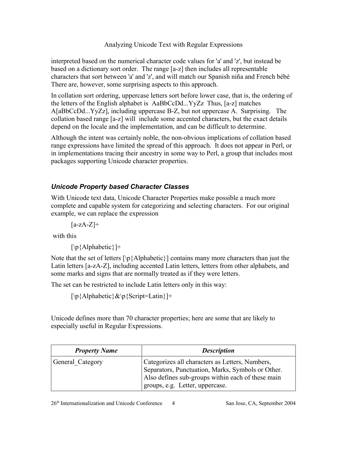interpreted based on the numerical character code values for 'a' and 'z', but instead be based on a dictionary sort order. The range [a-z] then includes all representable characters that sort between 'a' and 'z', and will match our Spanish niña and French bébé There are, however, some surprising aspects to this approach.

In collation sort ordering, uppercase letters sort before lower case, that is, the ordering of the letters of the English alphabet is AaBbCcDd...YyZz Thus, [a-z] matches A[aBbCcDd...YyZz], including uppercase B-Z, but not uppercase A. Surprising. The collation based range [a-z] will include some accented characters, but the exact details depend on the locale and the implementation, and can be difficult to determine.

Although the intent was certainly noble, the non-obvious implications of collation based range expressions have limited the spread of this approach. It does not appear in Perl, or in implementations tracing their ancestry in some way to Perl, a group that includes most packages supporting Unicode character properties.

## *Unicode Property based Character Classes*

With Unicode text data, Unicode Character Properties make possible a much more complete and capable system for categorizing and selecting characters. For our original example, we can replace the expression

 $[a-zA-Z]+$ 

with this

[\p{Alphabetic}]+

Note that the set of letters  $[\n\phi(A]$  phabetic $\)$  contains many more characters than just the Latin letters [a-zA-Z], including accented Latin letters, letters from other alphabets, and some marks and signs that are normally treated as if they were letters.

The set can be restricted to include Latin letters only in this way:

 $[\n\{A\}$ phabetic $\&\p\{Script=Latin\}$  +

Unicode defines more than 70 character properties; here are some that are likely to especially useful in Regular Expressions.

| <b>Property Name</b> | <b>Description</b>                                                                                                                                                                           |
|----------------------|----------------------------------------------------------------------------------------------------------------------------------------------------------------------------------------------|
| General Category     | Categorizes all characters as Letters, Numbers,<br>Separators, Punctuation, Marks, Symbols or Other.<br>Also defines sub-groups within each of these main<br>groups, e.g. Letter, uppercase. |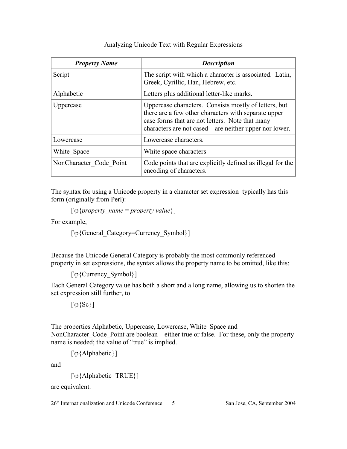| <b>Property Name</b>    | <b>Description</b>                                                                                                                                                                                                          |
|-------------------------|-----------------------------------------------------------------------------------------------------------------------------------------------------------------------------------------------------------------------------|
| Script                  | The script with which a character is associated. Latin,<br>Greek, Cyrillic, Han, Hebrew, etc.                                                                                                                               |
| Alphabetic              | Letters plus additional letter-like marks.                                                                                                                                                                                  |
| Uppercase               | Uppercase characters. Consists mostly of letters, but<br>there are a few other characters with separate upper<br>case forms that are not letters. Note that many<br>characters are not cased – are neither upper nor lower. |
| Lowercase               | Lowercase characters.                                                                                                                                                                                                       |
| White Space             | White space characters                                                                                                                                                                                                      |
| NonCharacter Code Point | Code points that are explicitly defined as illegal for the<br>encoding of characters.                                                                                                                                       |

The syntax for using a Unicode property in a character set expression typically has this form (originally from Perl):

 $[\n\phi\{property\ name = property\ value\}]$ 

For example,

[\p{General\_Category=Currency\_Symbol}]

Because the Unicode General Category is probably the most commonly referenced property in set expressions, the syntax allows the property name to be omitted, like this:

[\p{Currency\_Symbol}]

Each General Category value has both a short and a long name, allowing us to shorten the set expression still further, to

 $[\n\bra{Sc}]$ 

The properties Alphabetic, Uppercase, Lowercase, White\_Space and NonCharacter Code Point are boolean – either true or false. For these, only the property name is needed; the value of "true" is implied.

[\p{Alphabetic}]

and

[\p{Alphabetic=TRUE}]

are equivalent.

26<sup>th</sup> Internationalization and Unicode Conference 5 San Jose, CA, September 2004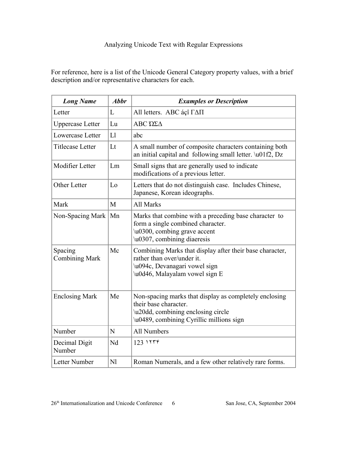For reference, here is a list of the Unicode General Category property values, with a brief description and/or representative characters for each.

| <b>Long Name</b>                 | <b>Abbr</b>    | <b>Examples or Description</b>                                                                                                                                    |
|----------------------------------|----------------|-------------------------------------------------------------------------------------------------------------------------------------------------------------------|
| Letter                           | L              | All letters. ABC áçî ΓΔΠ                                                                                                                                          |
| <b>Uppercase</b> Letter          | Lu             | ΑΒΣ ΏΣΔ                                                                                                                                                           |
| Lowercase Letter                 | L1             | abc                                                                                                                                                               |
| <b>Titlecase Letter</b>          | Lt             | A small number of composite characters containing both<br>an initial capital and following small letter. \u01f2, Dz                                               |
| Modifier Letter                  | Lm             | Small signs that are generally used to indicate<br>modifications of a previous letter.                                                                            |
| Other Letter                     | Lo             | Letters that do not distinguish case. Includes Chinese,<br>Japanese, Korean ideographs.                                                                           |
| Mark                             | M              | All Marks                                                                                                                                                         |
| Non-Spacing Mark                 | Mn             | Marks that combine with a preceding base character to<br>form a single combined character.<br>\u0300, combing grave accent<br>\u0307, combining diaeresis         |
| Spacing<br><b>Combining Mark</b> | Mc             | Combining Marks that display after their base character,<br>rather than over/under it.<br>\u094c, Devanagari vowel sign<br>\u0d46, Malayalam vowel sign E         |
| <b>Enclosing Mark</b>            | Me             | Non-spacing marks that display as completely enclosing<br>their base character.<br>\u20dd, combining enclosing circle<br>\u0489, combining Cyrillic millions sign |
| Number                           | N              | <b>All Numbers</b>                                                                                                                                                |
| Decimal Digit<br>Number          | Nd             | $123$ $155$                                                                                                                                                       |
| Letter Number                    | N <sub>1</sub> | Roman Numerals, and a few other relatively rare forms.                                                                                                            |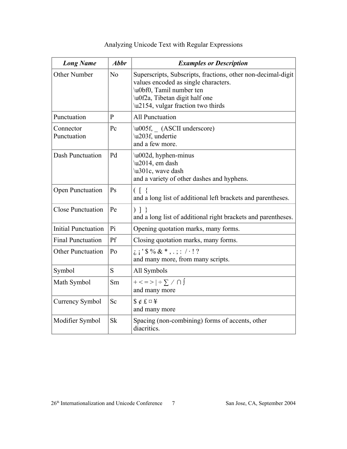| <b>Long Name</b>           | <b>Abbr</b>  | <b>Examples or Description</b>                                                                                                                                                                                                                                                                                                                               |
|----------------------------|--------------|--------------------------------------------------------------------------------------------------------------------------------------------------------------------------------------------------------------------------------------------------------------------------------------------------------------------------------------------------------------|
| Other Number               | No           | Superscripts, Subscripts, fractions, other non-decimal-digit<br>values encoded as single characters.<br>\u0bf0, Tamil number ten<br>\u0f2a, Tibetan digit half one<br>\u2154, vulgar fraction two thirds                                                                                                                                                     |
| Punctuation                | $\mathbf{P}$ | <b>All Punctuation</b>                                                                                                                                                                                                                                                                                                                                       |
| Connector<br>Punctuation   | Pc           | \u005f, (ASCII underscore)<br>\u203f, undertie<br>and a few more.                                                                                                                                                                                                                                                                                            |
| Dash Punctuation           | Pd           | \u002d, hyphen-minus<br>\u2014, em dash<br>\u301c, wave dash<br>and a variety of other dashes and hyphens.                                                                                                                                                                                                                                                   |
| Open Punctuation           | Ps           | $\left( \begin{array}{c} \end{array} \right)$<br>and a long list of additional left brackets and parentheses.                                                                                                                                                                                                                                                |
| <b>Close Punctuation</b>   | Pe           | $\left.\begin{array}{c} \end{array}\right)$   $\left.\begin{array}{c} \end{array}\right$<br>and a long list of additional right brackets and parentheses.                                                                                                                                                                                                    |
| <b>Initial Punctuation</b> | Pi           | Opening quotation marks, many forms.                                                                                                                                                                                                                                                                                                                         |
| <b>Final Punctuation</b>   | Pf           | Closing quotation marks, many forms.                                                                                                                                                                                                                                                                                                                         |
| <b>Other Punctuation</b>   | Po           | $i : \$ $\frac{1}{2}$ $\frac{1}{2}$ $\frac{1}{2}$ $\frac{1}{2}$ $\frac{1}{2}$ $\frac{1}{2}$ $\frac{1}{2}$ $\frac{1}{2}$ $\frac{1}{2}$ $\frac{1}{2}$ $\frac{1}{2}$ $\frac{1}{2}$ $\frac{1}{2}$ $\frac{1}{2}$ $\frac{1}{2}$ $\frac{1}{2}$ $\frac{1}{2}$ $\frac{1}{2}$ $\frac{1}{2}$ $\frac{1}{2}$ $\frac{1}{2}$ $\frac{1$<br>and many more, from many scripts. |
| Symbol                     | S            | All Symbols                                                                                                                                                                                                                                                                                                                                                  |
| Math Symbol                | Sm           | $+$ < = > $  \div \sum / \bigcap$<br>and many more                                                                                                                                                                                                                                                                                                           |
| <b>Currency Symbol</b>     | Sc           | and many more                                                                                                                                                                                                                                                                                                                                                |
| Modifier Symbol            | Sk           | Spacing (non-combining) forms of accents, other<br>diacritics.                                                                                                                                                                                                                                                                                               |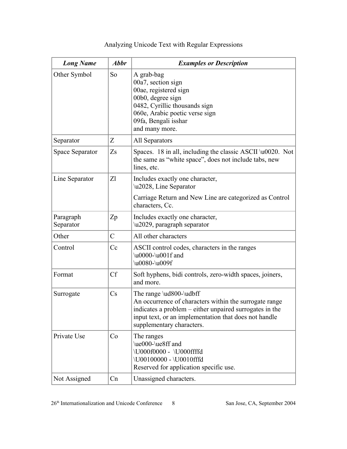| <b>Long Name</b>       | <b>Abbr</b>   | <b>Examples or Description</b>                                                                                                                                                                                                     |
|------------------------|---------------|------------------------------------------------------------------------------------------------------------------------------------------------------------------------------------------------------------------------------------|
| Other Symbol           | So            | A grab-bag<br>00a7, section sign<br>00ae, registered sign<br>00b0, degree sign<br>0482, Cyrillic thousands sign<br>060e, Arabic poetic verse sign<br>09fa, Bengali isshar<br>and many more.                                        |
| Separator              | Z             | All Separators                                                                                                                                                                                                                     |
| Space Separator        | Zs            | Spaces. 18 in all, including the classic ASCII $\u0020$ . Not<br>the same as "white space", does not include tabs, new<br>lines, etc.                                                                                              |
| Line Separator         | Zl            | Includes exactly one character,<br>\u2028, Line Separator                                                                                                                                                                          |
|                        |               | Carriage Return and New Line are categorized as Control<br>characters, Cc.                                                                                                                                                         |
| Paragraph<br>Separator | Zp            | Includes exactly one character,<br>\u2029, paragraph separator                                                                                                                                                                     |
| Other                  | $\mathcal{C}$ | All other characters                                                                                                                                                                                                               |
| Control                | Cc            | ASCII control codes, characters in the ranges<br>\u0000-\u001f and<br>\u0080-\u009f                                                                                                                                                |
| Format                 | <b>Cf</b>     | Soft hyphens, bidi controls, zero-width spaces, joiners,<br>and more.                                                                                                                                                              |
| Surrogate              | Cs            | The range \ud800-\udbff<br>An occurrence of characters within the surrogate range<br>indicates a problem – either unpaired surrogates in the<br>input text, or an implementation that does not handle<br>supplementary characters. |
| Private Use            | Co            | The ranges<br>\ue000-\ue8ff and<br>\U000f0000 - \U000ffffd<br>\U00100000 - \U0010fffd<br>Reserved for application specific use.                                                                                                    |
| Not Assigned           | Cn            | Unassigned characters.                                                                                                                                                                                                             |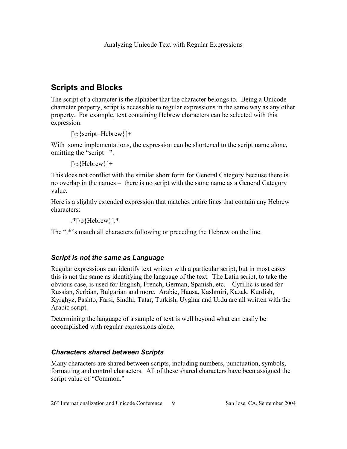## **Scripts and Blocks**

The script of a character is the alphabet that the character belongs to. Being a Unicode character property, script is accessible to regular expressions in the same way as any other property. For example, text containing Hebrew characters can be selected with this expression:

```
[\p{script=Hebrew}]+
```
With some implementations, the expression can be shortened to the script name alone, omitting the "script  $=$ ".

[\p{Hebrew}]+

This does not conflict with the similar short form for General Category because there is no overlap in the names – there is no script with the same name as a General Category value.

Here is a slightly extended expression that matches entire lines that contain any Hebrew characters:

.\* $[\n\{Hebrew\}].$ \*

The ".\*"s match all characters following or preceding the Hebrew on the line.

### *Script is not the same as Language*

Regular expressions can identify text written with a particular script, but in most cases this is not the same as identifying the language of the text. The Latin script, to take the obvious case, is used for English, French, German, Spanish, etc. Cyrillic is used for Russian, Serbian, Bulgarian and more. Arabic, Hausa, Kashmiri, Kazak, Kurdish, Kyrghyz, Pashto, Farsi, Sindhi, Tatar, Turkish, Uyghur and Urdu are all written with the Arabic script.

Determining the language of a sample of text is well beyond what can easily be accomplished with regular expressions alone.

### *Characters shared between Scripts*

Many characters are shared between scripts, including numbers, punctuation, symbols, formatting and control characters. All of these shared characters have been assigned the script value of "Common."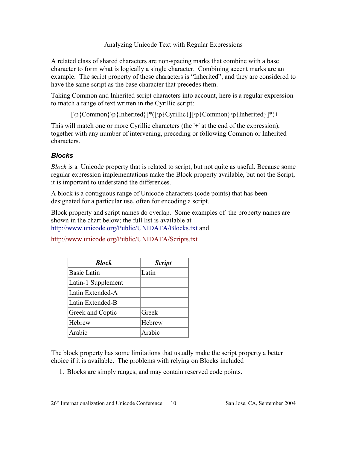A related class of shared characters are non-spacing marks that combine with a base character to form what is logically a single character. Combining accent marks are an example. The script property of these characters is "Inherited", and they are considered to have the same script as the base character that precedes them.

Taking Common and Inherited script characters into account, here is a regular expression to match a range of text written in the Cyrillic script:

 $[\p{Common}\p{Inherited}\}*(\p{Cyrillic}\] \p{Common}\p{Inherited}\}^+$ 

This will match one or more Cyrillic characters (the '+' at the end of the expression), together with any number of intervening, preceding or following Common or Inherited characters.

## *Blocks*

*Block* is a Unicode property that is related to script, but not quite as useful. Because some regular expression implementations make the Block property available, but not the Script, it is important to understand the differences.

A block is a contiguous range of Unicode characters (code points) that has been designated for a particular use, often for encoding a script.

Block property and script names do overlap. Some examples of the property names are shown in the chart below; the full list is available at http://www.unicode.org/Public/UNIDATA/Blocks.txt and

http://www.unicode.org/Public/UNIDATA/Scripts.txt

| <b>Block</b>       | <b>Script</b> |
|--------------------|---------------|
| <b>Basic Latin</b> | Latin         |
| Latin-1 Supplement |               |
| Latin Extended-A   |               |
| Latin Extended-B   |               |
| Greek and Coptic   | Greek         |
| Hebrew             | Hebrew        |
| Arabic             | Arabic        |

The block property has some limitations that usually make the script property a better choice if it is available. The problems with relying on Blocks included

1. Blocks are simply ranges, and may contain reserved code points.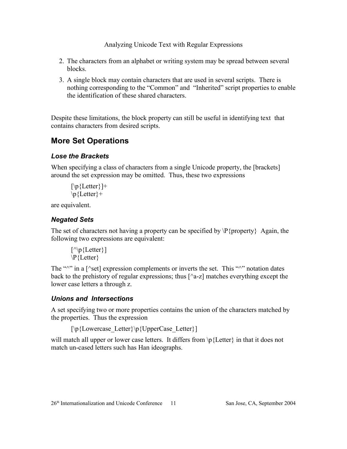- 2. The characters from an alphabet or writing system may be spread between several blocks.
- 3. A single block may contain characters that are used in several scripts. There is nothing corresponding to the "Common" and "Inherited" script properties to enable the identification of these shared characters.

Despite these limitations, the block property can still be useful in identifying text that contains characters from desired scripts.

## **More Set Operations**

### *Lose the Brackets*

When specifying a class of characters from a single Unicode property, the [brackets] around the set expression may be omitted. Thus, these two expressions

```
[\n\Phi\{\text{Letter}\}]+
\pmb{\in} {Letter}+
```
are equivalent.

## *Negated Sets*

The set of characters not having a property can be specified by  $P\{property\}$  Again, the following two expressions are equivalent:

```
[\wedge]p{Letter}]
\P{Letter}
```
The " $\wedge$ " in a [ $\wedge$ set] expression complements or inverts the set. This " $\wedge$ " notation dates back to the prehistory of regular expressions; thus  $\lceil$  a-z] matches everything except the lower case letters a through z.

### *Unions and Intersections*

A set specifying two or more properties contains the union of the characters matched by the properties. Thus the expression

```
[\p{Lowercase_Letter}\p{UpperCase_Letter}]
```
will match all upper or lower case letters. It differs from  $\pi$ . Exter in that it does not match un-cased letters such has Han ideographs.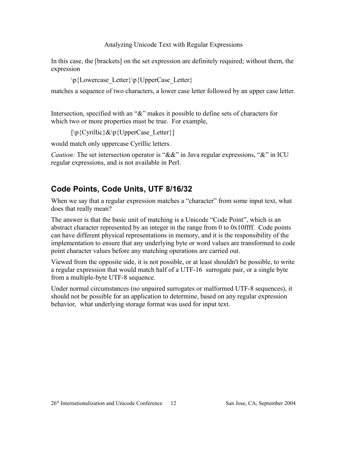In this case, the [brackets] on the set expression are definitely required; without them, the expression

\p{Lowercase\_Letter}\p{UpperCase\_Letter}

matches a sequence of two characters, a lower case letter followed by an upper case letter.

Intersection, specified with an " $\&$ " makes it possible to define sets of characters for which two or more properties must be true. For example,

 $[\pmb{\in}$  {Cyrillic} & \p {UpperCase Letter }

would match only uppercase Cyrillic letters.

*Caution:* The set intersection operator is "&&" in Java regular expressions, "&" in ICU regular expressions, and is not available in Perl.

## **Code Points, Code Units, UTF 8/16/32**

When we say that a regular expression matches a "character" from some input text, what does that really mean?

The answer is that the basic unit of matching is a Unicode "Code Point", which is an abstract character represented by an integer in the range from 0 to 0x10ffff. Code points can have different physical representations in memory, and it is the responsibility of the implementation to ensure that any underlying byte or word values are transformed to code point character values before any matching operations are carried out.

Viewed from the opposite side, it is not possible, or at least shouldn't be possible, to write a regular expression that would match half of a UTF-16 surrogate pair, or a single byte from a multiple-byte UTF-8 sequence.

Under normal circumstances (no unpaired surrogates or malformed UTF-8 sequences), it should not be possible for an application to determine, based on any regular expression behavior, what underlying storage format was used for input text.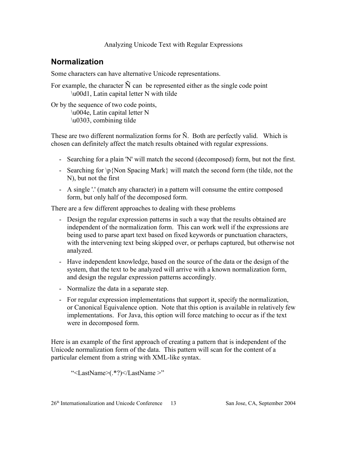## **Normalization**

Some characters can have alternative Unicode representations.

For example, the character  $\tilde{N}$  can be represented either as the single code point \u00d1, Latin capital letter N with tilde

Or by the sequence of two code points, \u004e, Latin capital letter N \u0303, combining tilde

These are two different normalization forms for  $\tilde{N}$ . Both are perfectly valid. Which is chosen can definitely affect the match results obtained with regular expressions.

- Searching for a plain 'N' will match the second (decomposed) form, but not the first.
- Searching for  $\pmb{\in}$  {Non Spacing Mark} will match the second form (the tilde, not the N), but not the first
- A single '.' (match any character) in a pattern will consume the entire composed form, but only half of the decomposed form.

There are a few different approaches to dealing with these problems

- Design the regular expression patterns in such a way that the results obtained are independent of the normalization form. This can work well if the expressions are being used to parse apart text based on fixed keywords or punctuation characters, with the intervening text being skipped over, or perhaps captured, but otherwise not analyzed.
- Have independent knowledge, based on the source of the data or the design of the system, that the text to be analyzed will arrive with a known normalization form, and design the regular expression patterns accordingly.
- Normalize the data in a separate step.
- For regular expression implementations that support it, specify the normalization, or Canonical Equivalence option. Note that this option is available in relatively few implementations. For Java, this option will force matching to occur as if the text were in decomposed form.

Here is an example of the first approach of creating a pattern that is independent of the Unicode normalization form of the data. This pattern will scan for the content of a particular element from a string with XML-like syntax.

"<LastName>(.\*?)</LastName >"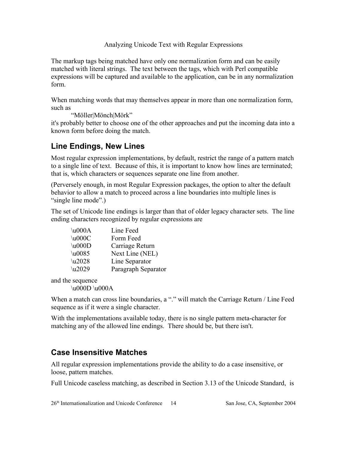The markup tags being matched have only one normalization form and can be easily matched with literal strings. The text between the tags, which with Perl compatible expressions will be captured and available to the application, can be in any normalization form.

When matching words that may themselves appear in more than one normalization form, such as

"Möller|Mönch|Mörk"

it's probably better to choose one of the other approaches and put the incoming data into a known form before doing the match.

## **Line Endings, New Lines**

Most regular expression implementations, by default, restrict the range of a pattern match to a single line of text. Because of this, it is important to know how lines are terminated; that is, which characters or sequences separate one line from another.

(Perversely enough, in most Regular Expression packages, the option to alter the default behavior to allow a match to proceed across a line boundaries into multiple lines is "single line mode".)

The set of Unicode line endings is larger than that of older legacy character sets. The line ending characters recognized by regular expressions are

| $\u000A$ | Line Feed           |
|----------|---------------------|
| $\u000C$ | Form Feed           |
| $\u000D$ | Carriage Return     |
| $\u0085$ | Next Line (NEL)     |
| \u2028   | Line Separator      |
| $\u2029$ | Paragraph Separator |

and the sequence

\u000D \u000A

When a match can cross line boundaries, a "." will match the Carriage Return / Line Feed sequence as if it were a single character.

With the implementations available today, there is no single pattern meta-character for matching any of the allowed line endings. There should be, but there isn't.

## **Case Insensitive Matches**

All regular expression implementations provide the ability to do a case insensitive, or loose, pattern matches.

Full Unicode caseless matching, as described in Section 3.13 of the Unicode Standard, is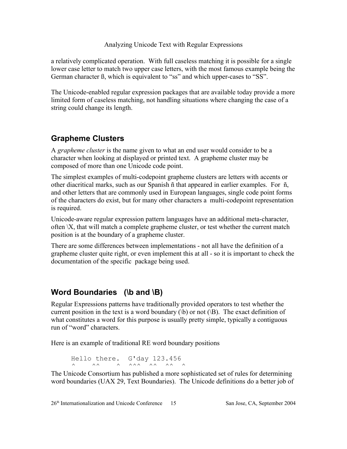a relatively complicated operation. With full caseless matching it is possible for a single lower case letter to match two upper case letters, with the most famous example being the German character ß, which is equivalent to "ss" and which upper-cases to "SS".

The Unicode-enabled regular expression packages that are available today provide a more limited form of caseless matching, not handling situations where changing the case of a string could change its length.

## **Grapheme Clusters**

A *grapheme cluster* is the name given to what an end user would consider to be a character when looking at displayed or printed text. A grapheme cluster may be composed of more than one Unicode code point.

The simplest examples of multi-codepoint grapheme clusters are letters with accents or other diacritical marks, such as our Spanish ñ that appeared in earlier examples. For ñ, and other letters that are commonly used in European languages, single code point forms of the characters do exist, but for many other characters a multi-codepoint representation is required.

Unicode-aware regular expression pattern languages have an additional meta-character, often \X, that will match a complete grapheme cluster, or test whether the current match position is at the boundary of a grapheme cluster.

There are some differences between implementations - not all have the definition of a grapheme cluster quite right, or even implement this at all - so it is important to check the documentation of the specific package being used.

## **Word Boundaries (\b and \B)**

Regular Expressions patterns have traditionally provided operators to test whether the current position in the text is a word boundary  $(\forall b)$  or not  $(\forall B)$ . The exact definition of what constitutes a word for this purpose is usually pretty simple, typically a contiguous run of "word" characters.

Here is an example of traditional RE word boundary positions

Hello there. G'day 123.456  $\wedge$   $\wedge$   $\wedge$   $\wedge$   $\wedge$   $\wedge$   $\wedge$   $\wedge$   $\wedge$   $\wedge$   $\wedge$   $\wedge$   $\wedge$ 

The Unicode Consortium has published a more sophisticated set of rules for determining word boundaries (UAX 29, Text Boundaries). The Unicode definitions do a better job of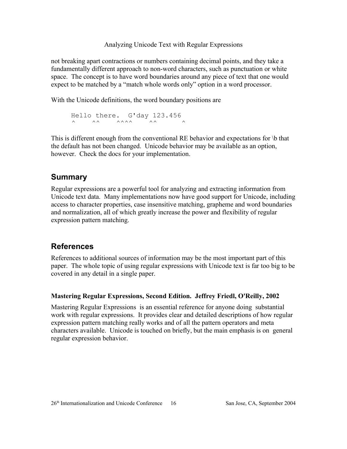not breaking apart contractions or numbers containing decimal points, and they take a fundamentally different approach to non-word characters, such as punctuation or white space. The concept is to have word boundaries around any piece of text that one would expect to be matched by a "match whole words only" option in a word processor.

With the Unicode definitions, the word boundary positions are

```
Hello there. G'day 123.456
\wedge \wedge \wedge \wedge \wedge \wedge \wedge \wedge \wedge \wedge \wedge
```
This is different enough from the conventional RE behavior and expectations for \b that the default has not been changed. Unicode behavior may be available as an option, however. Check the docs for your implementation.

## **Summary**

Regular expressions are a powerful tool for analyzing and extracting information from Unicode text data. Many implementations now have good support for Unicode, including access to character properties, case insensitive matching, grapheme and word boundaries and normalization, all of which greatly increase the power and flexibility of regular expression pattern matching.

### **References**

References to additional sources of information may be the most important part of this paper. The whole topic of using regular expressions with Unicode text is far too big to be covered in any detail in a single paper.

#### **Mastering Regular Expressions, Second Edition. Jeffrey Friedl, O'Reilly, 2002**

Mastering Regular Expressions is an essential reference for anyone doing substantial work with regular expressions. It provides clear and detailed descriptions of how regular expression pattern matching really works and of all the pattern operators and meta characters available. Unicode is touched on briefly, but the main emphasis is on general regular expression behavior.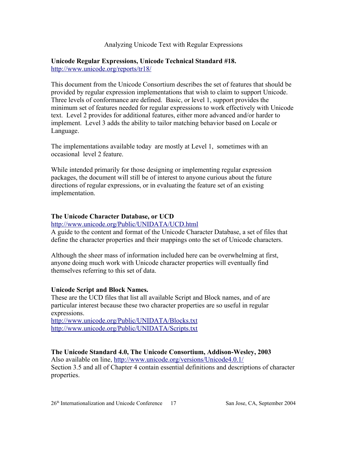**Unicode Regular Expressions, Unicode Technical Standard #18.** http://www.unicode.org/reports/tr18/

This document from the Unicode Consortium describes the set of features that should be provided by regular expression implementations that wish to claim to support Unicode. Three levels of conformance are defined. Basic, or level 1, support provides the minimum set of features needed for regular expressions to work effectively with Unicode text. Level 2 provides for additional features, either more advanced and/or harder to implement. Level 3 adds the ability to tailor matching behavior based on Locale or Language.

The implementations available today are mostly at Level 1, sometimes with an occasional level 2 feature.

While intended primarily for those designing or implementing regular expression packages, the document will still be of interest to anyone curious about the future directions of regular expressions, or in evaluating the feature set of an existing implementation.

#### **The Unicode Character Database, or UCD**

http://www.unicode.org/Public/UNIDATA/UCD.html

A guide to the content and format of the Unicode Character Database, a set of files that define the character properties and their mappings onto the set of Unicode characters.

Although the sheer mass of information included here can be overwhelming at first, anyone doing much work with Unicode character properties will eventually find themselves referring to this set of data.

#### **Unicode Script and Block Names.**

These are the UCD files that list all available Script and Block names, and of are particular interest because these two character properties are so useful in regular expressions.

http://www.unicode.org/Public/UNIDATA/Blocks.txt http://www.unicode.org/Public/UNIDATA/Scripts.txt

#### **The Unicode Standard 4.0, The Unicode Consortium, Addison-Wesley, 2003**

Also available on line, http://www.unicode.org/versions/Unicode4.0.1/ Section 3.5 and all of Chapter 4 contain essential definitions and descriptions of character properties.